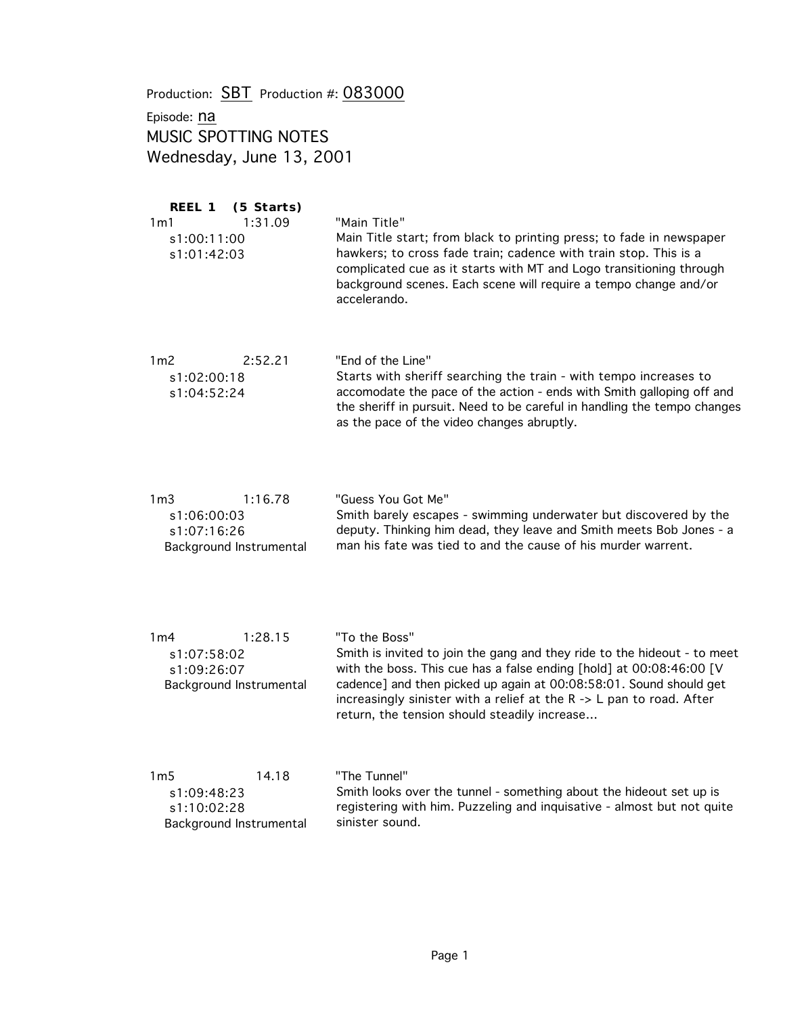Production: **SBT** Production #: 083000

Episode: na MUSIC SPOTTING NOTES Wednesday, June 13, 2001

|                                               | REEL 1 (5 Starts) |                                                                                                                                                                                                                                                                                           |
|-----------------------------------------------|-------------------|-------------------------------------------------------------------------------------------------------------------------------------------------------------------------------------------------------------------------------------------------------------------------------------------|
| 1 <sub>m1</sub>                               | 1:31.09           | "Main Title"                                                                                                                                                                                                                                                                              |
| s1:00:11:00                                   |                   | Main Title start; from black to printing press; to fade in newspaper                                                                                                                                                                                                                      |
| s1:01:42:03                                   |                   | hawkers; to cross fade train; cadence with train stop. This is a<br>complicated cue as it starts with MT and Logo transitioning through<br>background scenes. Each scene will require a tempo change and/or<br>accelerando.                                                               |
| 1 <sub>m2</sub><br>s1:02:00:18<br>s1:04:52:24 | 2:52.21           | "End of the Line"<br>Starts with sheriff searching the train - with tempo increases to<br>accomodate the pace of the action - ends with Smith galloping off and<br>the sheriff in pursuit. Need to be careful in handling the tempo changes<br>as the pace of the video changes abruptly. |

| 1 <sub>m3</sub> | 1:16.78                 | "Guess You Got Me"                                                  |
|-----------------|-------------------------|---------------------------------------------------------------------|
| s1:06:00:03     |                         | Smith barely escapes - swimming underwater but discovered by the    |
| s1:07:16:26     |                         | deputy. Thinking him dead, they leave and Smith meets Bob Jones - a |
|                 | Background Instrumental | man his fate was tied to and the cause of his murder warrent.       |

| 1 <sub>m4</sub>                        | 1:28.15 | "To the Boss"                                                                                                                                                                                         |  |  |
|----------------------------------------|---------|-------------------------------------------------------------------------------------------------------------------------------------------------------------------------------------------------------|--|--|
| s1:07:58:02                            |         | Smith is invited to join the gang and they ride to the hideout - to meet<br>with the boss. This cue has a false ending [hold] at 00:08:46:00 [V]                                                      |  |  |
| s1:09:26:07<br>Background Instrumental |         | cadence] and then picked up again at 00:08:58:01. Sound should get<br>increasingly sinister with a relief at the $R \rightarrow L$ pan to road. After<br>return, the tension should steadily increase |  |  |
|                                        |         |                                                                                                                                                                                                       |  |  |

| 1 <sub>m5</sub>         | 14.18 | "The Tunnel"                                                           |
|-------------------------|-------|------------------------------------------------------------------------|
| s1:09:48:23             |       | Smith looks over the tunnel - something about the hideout set up is    |
| s1:10:02:28             |       | registering with him. Puzzeling and inquisative - almost but not quite |
| Background Instrumental |       | sinister sound.                                                        |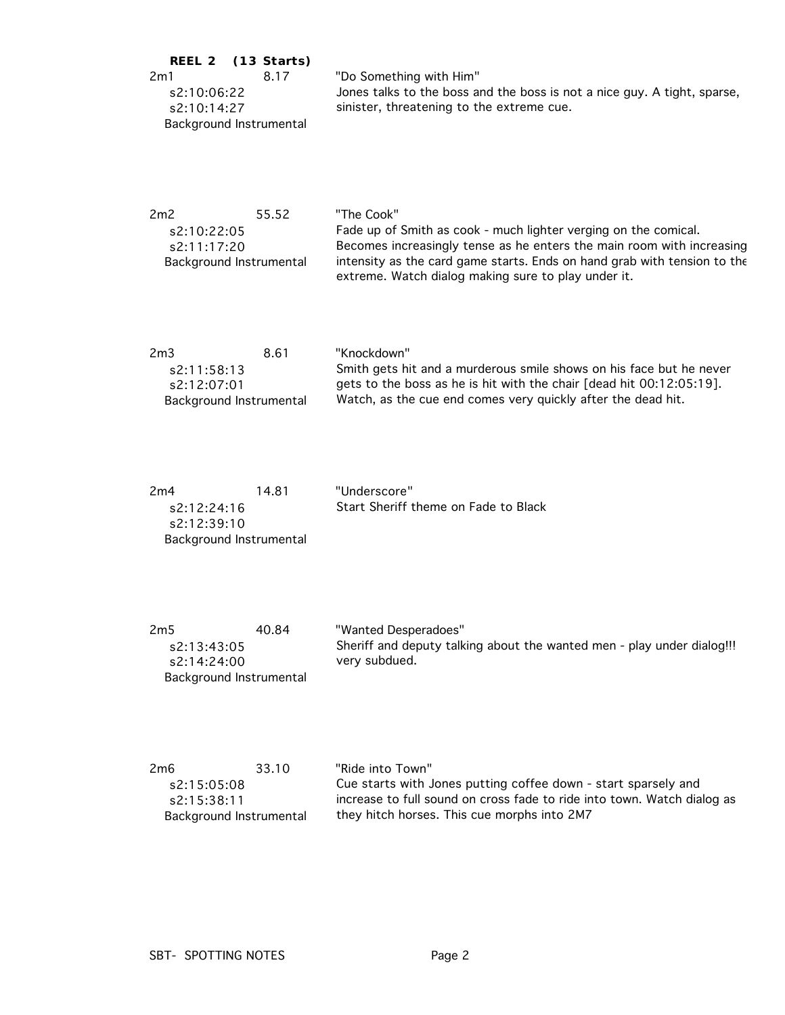|             | REEL 2 (13 Starts)      |                                                                          |
|-------------|-------------------------|--------------------------------------------------------------------------|
| 2m1         | 8.17                    | "Do Something with Him"                                                  |
| s2:10:06:22 |                         | Jones talks to the boss and the boss is not a nice guy. A tight, sparse, |
| s2:10:14:27 |                         | sinister, threatening to the extreme cue.                                |
|             | Background Instrumental |                                                                          |

| 2m2                     | 55.52 | "The Cook"                                                                                                                      |
|-------------------------|-------|---------------------------------------------------------------------------------------------------------------------------------|
| s2:10:22:05             |       | Fade up of Smith as cook - much lighter verging on the comical.                                                                 |
| s2:11:17:20             |       | Becomes increasingly tense as he enters the main room with increasing                                                           |
| Background Instrumental |       | intensity as the card game starts. Ends on hand grab with tension to the<br>extreme. Watch dialog making sure to play under it. |

| 2m3                     | 8.61 | "Knockdown"                                                          |
|-------------------------|------|----------------------------------------------------------------------|
| s2:11:58:13             |      | Smith gets hit and a murderous smile shows on his face but he never  |
| s2:12:07:01             |      | gets to the boss as he is hit with the chair [dead hit 00:12:05:19]. |
| Background Instrumental |      | Watch, as the cue end comes very quickly after the dead hit.         |

| 2m4         | 14.81 | "Underscore"                         |
|-------------|-------|--------------------------------------|
| s2:12:24:16 |       | Start Sheriff theme on Fade to Black |
| s2:12:39:10 |       |                                      |

| 2m <sub>5</sub>         | 40.84 | "Wanted Desperadoes"                                                   |
|-------------------------|-------|------------------------------------------------------------------------|
| s2:13:43:05             |       | Sheriff and deputy talking about the wanted men - play under dialog!!! |
| s2:14:24:00             |       | very subdued.                                                          |
| Background Instrumental |       |                                                                        |

| 2m6                     | 33.10 | "Ride into Town"                                                        |
|-------------------------|-------|-------------------------------------------------------------------------|
| s2:15:05:08             |       | Cue starts with Jones putting coffee down - start sparsely and          |
| s2:15:38:11             |       | increase to full sound on cross fade to ride into town. Watch dialog as |
| Background Instrumental |       | they hitch horses. This cue morphs into 2M7                             |

Background Instrumental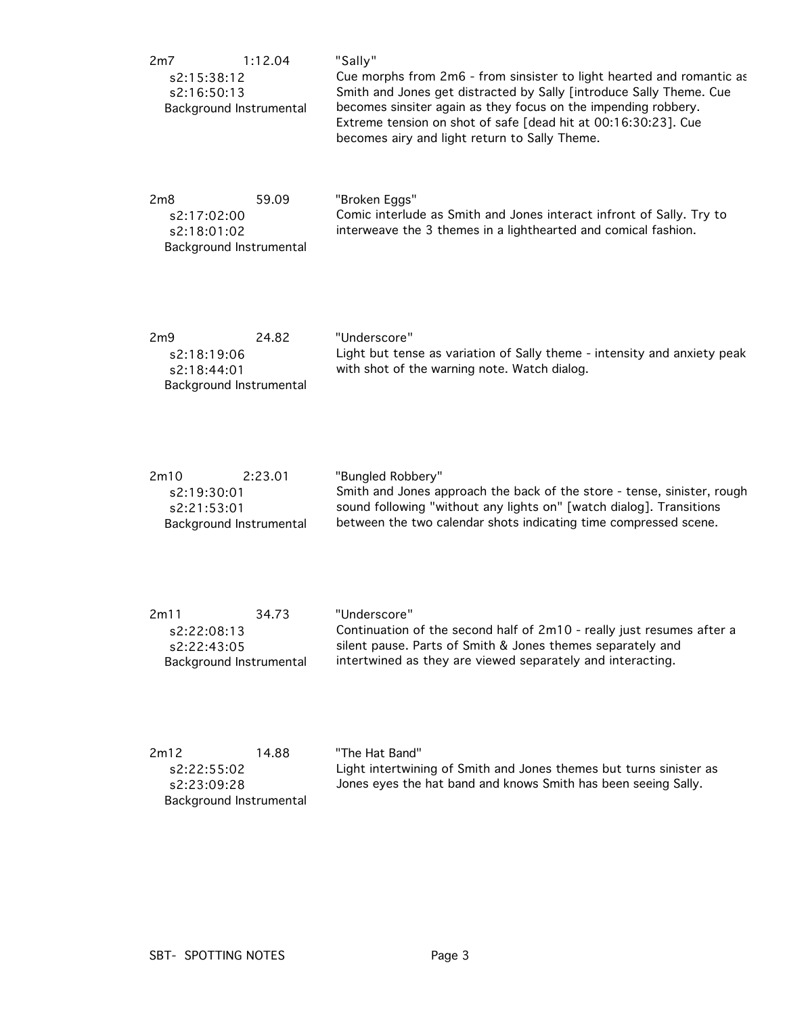| 2m7                     | 1:12.04 | "Sallv"                                                               |
|-------------------------|---------|-----------------------------------------------------------------------|
| s2:15:38:12             |         | Cue morphs from 2m6 - from sinsister to light hearted and romantic as |
| s2:16:50:13             |         | Smith and Jones get distracted by Sally [introduce Sally Theme. Cue   |
| Background Instrumental |         | becomes sinsiter again as they focus on the impending robbery.        |
|                         |         | Extreme tension on shot of safe [dead hit at 00:16:30:23]. Cue        |
|                         |         | becomes airy and light return to Sally Theme.                         |
|                         |         |                                                                       |

| 2m8         | 59.09                   | "Broken Eggs"                                                        |
|-------------|-------------------------|----------------------------------------------------------------------|
| s2:17:02:00 |                         | Comic interlude as Smith and Jones interact infront of Sally. Try to |
| s2:18:01:02 |                         | interweave the 3 themes in a lighthearted and comical fashion.       |
|             | Background Instrumental |                                                                      |

| 2 <sub>m</sub> 9        | 24.82 | "Underscore"                                                             |
|-------------------------|-------|--------------------------------------------------------------------------|
| s2:18:19:06             |       | Light but tense as variation of Sally theme - intensity and anxiety peak |
| s2:18:44:01             |       | with shot of the warning note. Watch dialog.                             |
| Background Instrumental |       |                                                                          |

| 2m10        | 2:23.01                 | "Bungled Robbery"                                                       |
|-------------|-------------------------|-------------------------------------------------------------------------|
| s2:19:30:01 |                         | Smith and Jones approach the back of the store - tense, sinister, rough |
| s2:21:53:01 |                         | sound following "without any lights on" [watch dialog]. Transitions     |
|             | Background Instrumental | between the two calendar shots indicating time compressed scene.        |

| 2m11                    | 34.73 | "Underscore"                                                          |
|-------------------------|-------|-----------------------------------------------------------------------|
| s2:22:08:13             |       | Continuation of the second half of 2m10 - really just resumes after a |
| s2:22:43:05             |       | silent pause. Parts of Smith & Jones themes separately and            |
| Background Instrumental |       | intertwined as they are viewed separately and interacting.            |
|                         |       |                                                                       |

| 2m12                    | 14.88 | "The Hat Band"                                                     |
|-------------------------|-------|--------------------------------------------------------------------|
| s2:22:55:02             |       | Light intertwining of Smith and Jones themes but turns sinister as |
| s2:23:09:28             |       | Jones eyes the hat band and knows Smith has been seeing Sally.     |
| Background Instrumental |       |                                                                    |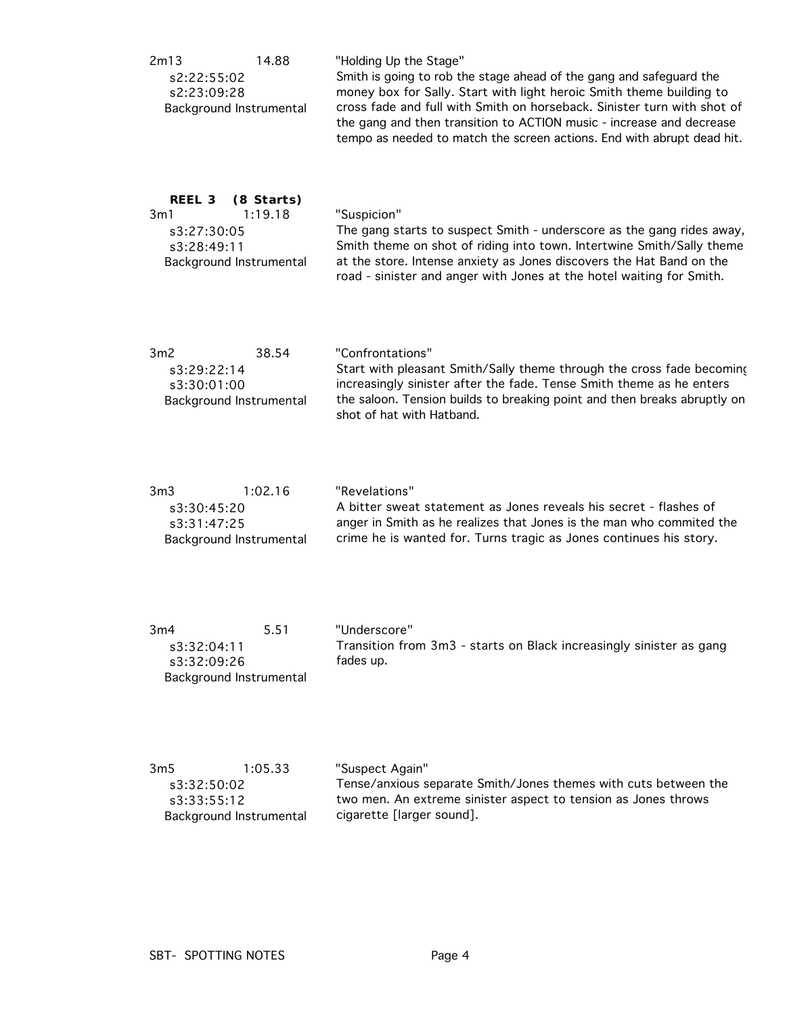| 2m13                    | 14.88 | "Holding Up the Stage"                                                                                                                          |
|-------------------------|-------|-------------------------------------------------------------------------------------------------------------------------------------------------|
| s2:22:55:02             |       | Smith is going to rob the stage ahead of the gang and safeguard the                                                                             |
| s2:23:09:28             |       | money box for Sally. Start with light heroic Smith theme building to                                                                            |
| Background Instrumental |       | cross fade and full with Smith on horseback. Sinister turn with shot of<br>the gang and then transition to ACTION music - increase and decrease |
|                         |       | tempo as needed to match the screen actions. End with abrupt dead hit.                                                                          |

|                         | REEL 3 (8 Starts) |                                                                       |
|-------------------------|-------------------|-----------------------------------------------------------------------|
| 3m1                     | 1:19.18           | "Suspicion"                                                           |
| s3:27:30:05             |                   | The gang starts to suspect Smith - underscore as the gang rides away, |
| s3:28:49:11             |                   | Smith theme on shot of riding into town. Intertwine Smith/Sally theme |
| Background Instrumental |                   | at the store. Intense anxiety as Jones discovers the Hat Band on the  |
|                         |                   | road - sinister and anger with Jones at the hotel waiting for Smith.  |

| 3m2                     | 38.54 | "Confrontations"                                                         |
|-------------------------|-------|--------------------------------------------------------------------------|
| s3:29:22:14             |       | Start with pleasant Smith/Sally theme through the cross fade becoming    |
| s3:30:01:00             |       | increasingly sinister after the fade. Tense Smith theme as he enters     |
| Background Instrumental |       | the saloon. Tension builds to breaking point and then breaks abruptly on |
|                         |       | shot of hat with Hatband.                                                |

| 3m3.        | 1:02.16                 | "Revelations"                                                        |
|-------------|-------------------------|----------------------------------------------------------------------|
| s3:30:45:20 |                         | A bitter sweat statement as Jones reveals his secret - flashes of    |
| s3:31:47:25 |                         | anger in Smith as he realizes that Jones is the man who commited the |
|             | Background Instrumental | crime he is wanted for. Turns tragic as Jones continues his story.   |

| 3m4                     | 5.51 | "Underscore"                                                        |
|-------------------------|------|---------------------------------------------------------------------|
| s3:32:04:11             |      | Transition from 3m3 - starts on Black increasingly sinister as gang |
| s3:32:09:26             |      | fades up.                                                           |
| Background Instrumental |      |                                                                     |

| 3m5                     | 1:05.33 | "Suspect Again"                                                 |
|-------------------------|---------|-----------------------------------------------------------------|
| s3:32:50:02             |         | Tense/anxious separate Smith/Jones themes with cuts between the |
| s3:33:55:12             |         | two men. An extreme sinister aspect to tension as Jones throws  |
| Background Instrumental |         | cigarette [larger sound].                                       |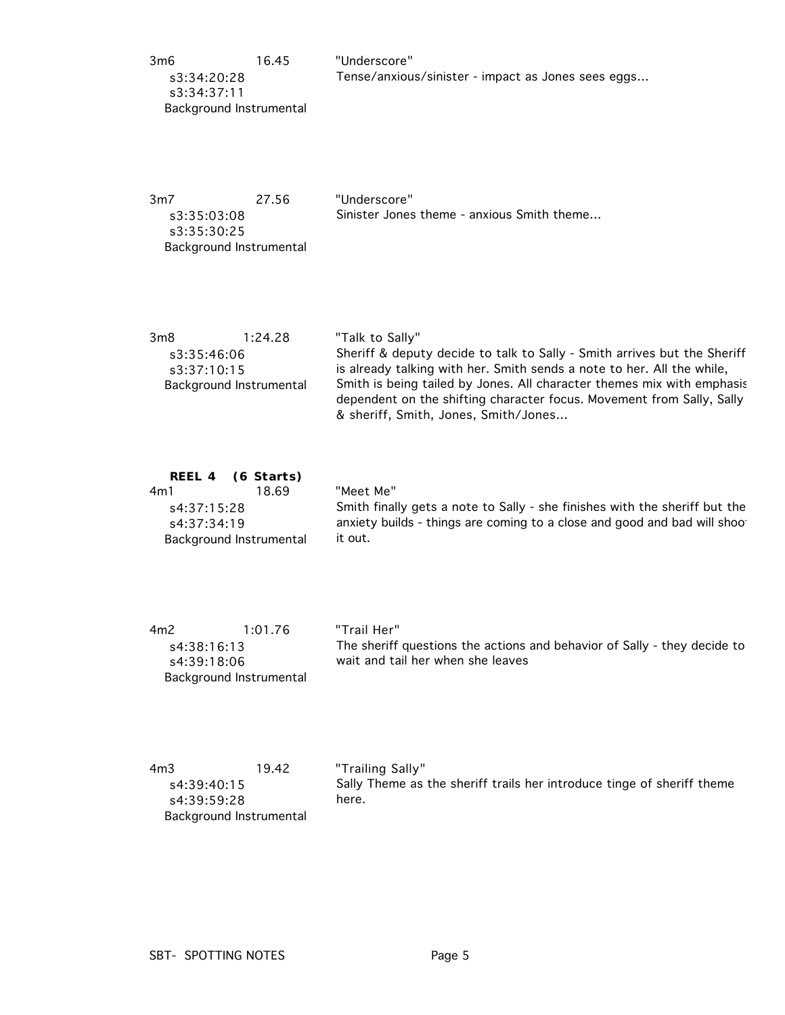3m6 16.45 "Underscore" s3:34:20:28 s3:34:37:11 Background Instrumental

Tense/anxious/sinister - impact as Jones sees eggs…

3m7 27.56 "Underscore" s3:35:03:08 s3:35:30:25 Background Instrumental Sinister Jones theme - anxious Smith theme…

| 3m8                     | 1:24.28 | "Talk to Sally"                                                          |
|-------------------------|---------|--------------------------------------------------------------------------|
| s3:35:46:06             |         | Sheriff & deputy decide to talk to Sally - Smith arrives but the Sheriff |
| s3:37:10:15             |         | is already talking with her. Smith sends a note to her. All the while,   |
| Background Instrumental |         | Smith is being tailed by Jones. All character themes mix with emphasis   |
|                         |         | dependent on the shifting character focus. Movement from Sally, Sally    |
|                         |         | & sheriff, Smith, Jones, Smith/Jones                                     |

|                         | REEL 4 (6 Starts) |                                                                            |
|-------------------------|-------------------|----------------------------------------------------------------------------|
| 4m1                     | 18.69.            | "Meet Me"                                                                  |
| s4:37:15:28             |                   | Smith finally gets a note to Sally - she finishes with the sheriff but the |
| s4:37:34:19             |                   | anxiety builds - things are coming to a close and good and bad will shoo   |
| Background Instrumental |                   | it out.                                                                    |

| 4m2                     | 1:01.76 | "Trail Her"                                                              |
|-------------------------|---------|--------------------------------------------------------------------------|
| s4:38:16:13             |         | The sheriff questions the actions and behavior of Sally - they decide to |
| s4:39:18:06             |         | wait and tail her when she leaves                                        |
| Background Instrumental |         |                                                                          |

| 4m <sub>3</sub>         | 19.42 | "Trailing Sally"                                                       |
|-------------------------|-------|------------------------------------------------------------------------|
| s4:39:40:15             |       | Sally Theme as the sheriff trails her introduce tinge of sheriff theme |
| s4:39:59:28             |       | here.                                                                  |
| Background Instrumental |       |                                                                        |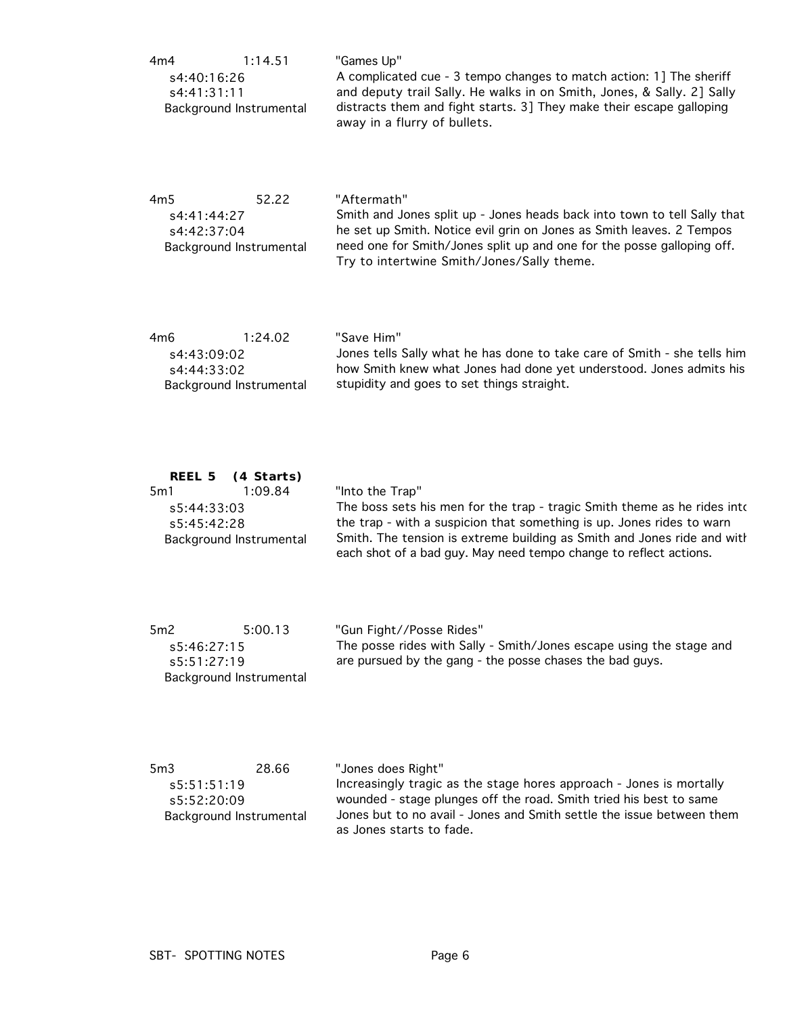| 4m4                                    | 1:14.51 | "Games Up"                                                                                                                                     |
|----------------------------------------|---------|------------------------------------------------------------------------------------------------------------------------------------------------|
| s4:40:16:26                            |         | A complicated cue - 3 tempo changes to match action: 1] The sheriff                                                                            |
| s4:41:31:11<br>Background Instrumental |         | and deputy trail Sally. He walks in on Smith, Jones, & Sally. 2] Sally<br>distracts them and fight starts. 3] They make their escape galloping |
|                                        |         | away in a flurry of bullets.                                                                                                                   |

| 4m5.                    | 52.22 | "Aftermath"                                                              |
|-------------------------|-------|--------------------------------------------------------------------------|
| s4:41:44:27             |       | Smith and Jones split up - Jones heads back into town to tell Sally that |
| s4:42:37:04             |       | he set up Smith. Notice evil grin on Jones as Smith leaves. 2 Tempos     |
| Background Instrumental |       | need one for Smith/Jones split up and one for the posse galloping off.   |
|                         |       | Try to intertwine Smith/Jones/Sally theme.                               |

| 4m6                     | 1:24.02 | "Save Him"                                                               |
|-------------------------|---------|--------------------------------------------------------------------------|
| s4:43:09:02             |         | Jones tells Sally what he has done to take care of Smith - she tells him |
| s4:44:33:02             |         | how Smith knew what Jones had done yet understood. Jones admits his      |
| Background Instrumental |         | stupidity and goes to set things straight.                               |

| "Into the Trap"                                                                                                                              |
|----------------------------------------------------------------------------------------------------------------------------------------------|
| The boss sets his men for the trap - tragic Smith theme as he rides into                                                                     |
| the trap - with a suspicion that something is up. Jones rides to warn                                                                        |
| Smith. The tension is extreme building as Smith and Jones ride and with<br>each shot of a bad guy. May need tempo change to reflect actions. |
|                                                                                                                                              |

| 5m2                     | 5:00.13 | "Gun Fight//Posse Rides"                                            |
|-------------------------|---------|---------------------------------------------------------------------|
| s5:46:27:15             |         | The posse rides with Sally - Smith/Jones escape using the stage and |
| s5:51:27:19             |         | are pursued by the gang - the posse chases the bad guys.            |
| Background Instrumental |         |                                                                     |

| 5 <sub>m3</sub>         | 28.66 | "Jones does Right"                                                    |
|-------------------------|-------|-----------------------------------------------------------------------|
| s5:51:51:19             |       | Increasingly tragic as the stage hores approach - Jones is mortally   |
| s5:52:20:09             |       | wounded - stage plunges off the road. Smith tried his best to same    |
| Background Instrumental |       | Jones but to no avail - Jones and Smith settle the issue between them |
|                         |       | as Jones starts to fade.                                              |